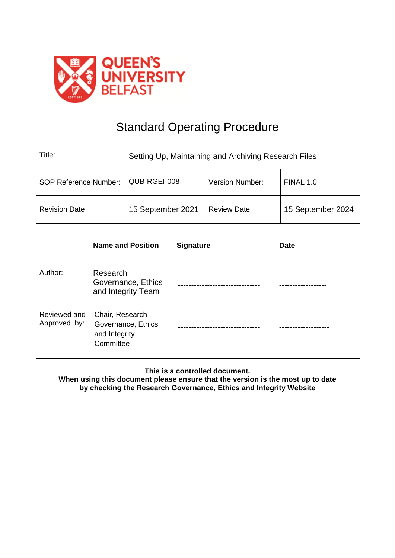

# Standard Operating Procedure

| Title:                       | Setting Up, Maintaining and Archiving Research Files |                        |                   |
|------------------------------|------------------------------------------------------|------------------------|-------------------|
| <b>SOP Reference Number:</b> | QUB-RGEI-008                                         | <b>Version Number:</b> | FINAL 1.0         |
| <b>Revision Date</b>         | 15 September 2021                                    | <b>Review Date</b>     | 15 September 2024 |

|                              | <b>Name and Position</b>                                            | <b>Signature</b> | <b>Date</b> |
|------------------------------|---------------------------------------------------------------------|------------------|-------------|
| Author:                      | Research<br>Governance, Ethics<br>and Integrity Team                |                  |             |
| Reviewed and<br>Approved by: | Chair, Research<br>Governance, Ethics<br>and Integrity<br>Committee |                  |             |

**This is a controlled document.**

**When using this document please ensure that the version is the most up to date by checking the Research Governance, Ethics and Integrity Website**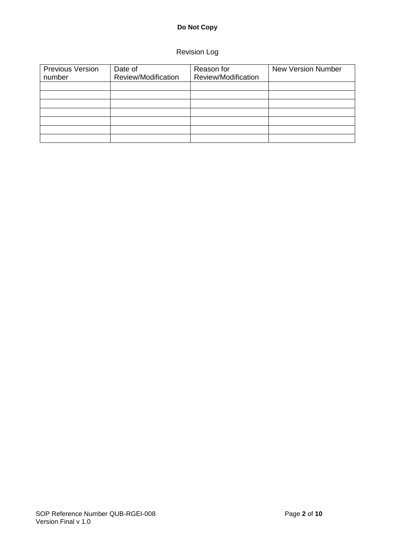## Revision Log

| <b>Previous Version</b> | Date of             | Reason for          | <b>New Version Number</b> |
|-------------------------|---------------------|---------------------|---------------------------|
| number                  | Review/Modification | Review/Modification |                           |
|                         |                     |                     |                           |
|                         |                     |                     |                           |
|                         |                     |                     |                           |
|                         |                     |                     |                           |
|                         |                     |                     |                           |
|                         |                     |                     |                           |
|                         |                     |                     |                           |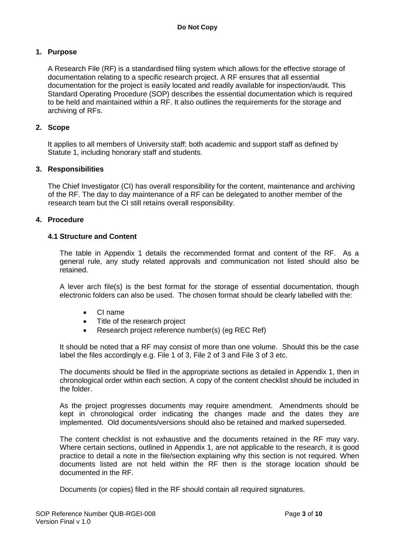#### **1. Purpose**

A Research File (RF) is a standardised filing system which allows for the effective storage of documentation relating to a specific research project. A RF ensures that all essential documentation for the project is easily located and readily available for inspection/audit. This Standard Operating Procedure (SOP) describes the essential documentation which is required to be held and maintained within a RF. It also outlines the requirements for the storage and archiving of RFs.

#### **2. Scope**

It applies to all members of University staff; both academic and support staff as defined by Statute 1, including honorary staff and students.

#### **3. Responsibilities**

The Chief Investigator (CI) has overall responsibility for the content, maintenance and archiving of the RF. The day to day maintenance of a RF can be delegated to another member of the research team but the CI still retains overall responsibility.

#### **4. Procedure**

#### **4.1 Structure and Content**

The table in Appendix 1 details the recommended format and content of the RF. As a general rule, any study related approvals and communication not listed should also be retained.

A lever arch file(s) is the best format for the storage of essential documentation, though electronic folders can also be used. The chosen format should be clearly labelled with the:

- CI name
- Title of the research project
- Research project reference number(s) (eg REC Ref)

It should be noted that a RF may consist of more than one volume. Should this be the case label the files accordingly e.g. File 1 of 3, File 2 of 3 and File 3 of 3 etc.

The documents should be filed in the appropriate sections as detailed in Appendix 1, then in chronological order within each section. A copy of the content checklist should be included in the folder.

As the project progresses documents may require amendment. Amendments should be kept in chronological order indicating the changes made and the dates they are implemented. Old documents/versions should also be retained and marked superseded.

The content checklist is not exhaustive and the documents retained in the RF may vary. Where certain sections, outlined in Appendix 1, are not applicable to the research, it is good practice to detail a note in the file/section explaining why this section is not required. When documents listed are not held within the RF then is the storage location should be documented in the RF.

Documents (or copies) filed in the RF should contain all required signatures.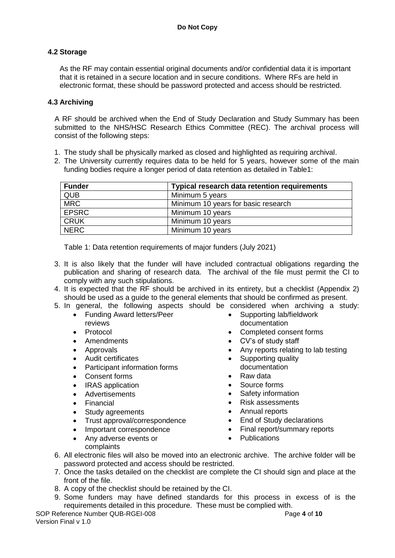#### **4.2 Storage**

As the RF may contain essential original documents and/or confidential data it is important that it is retained in a secure location and in secure conditions. Where RFs are held in electronic format, these should be password protected and access should be restricted.

#### **4.3 Archiving**

A RF should be archived when the End of Study Declaration and Study Summary has been submitted to the NHS/HSC Research Ethics Committee (REC). The archival process will consist of the following steps:

- 1. The study shall be physically marked as closed and highlighted as requiring archival.
- 2. The University currently requires data to be held for 5 years, however some of the main funding bodies require a longer period of data retention as detailed in Table1:

| <b>Funder</b> | <b>Typical research data retention requirements</b> |
|---------------|-----------------------------------------------------|
| <b>QUB</b>    | Minimum 5 years                                     |
| <b>MRC</b>    | Minimum 10 years for basic research                 |
| <b>EPSRC</b>  | Minimum 10 years                                    |
| <b>CRUK</b>   | Minimum 10 years                                    |
| <b>NERC</b>   | Minimum 10 years                                    |

Table 1: Data retention requirements of major funders (July 2021)

- 3. It is also likely that the funder will have included contractual obligations regarding the publication and sharing of research data. The archival of the file must permit the CI to comply with any such stipulations.
- 4. It is expected that the RF should be archived in its entirety, but a checklist (Appendix 2) should be used as a guide to the general elements that should be confirmed as present.
- 5. In general, the following aspects should be considered when archiving a study:
	- Funding Award letters/Peer reviews
	- Protocol
	- Amendments
	- Approvals
	- Audit certificates
	- Participant information forms
	- Consent forms
	- IRAS application
	- Advertisements
	- Financial
	- Study agreements
	- Trust approval/correspondence
	- Important correspondence
	- Any adverse events or complaints
- Supporting lab/fieldwork documentation
- Completed consent forms
- CV's of study staff
- Any reports relating to lab testing
- Supporting quality documentation
- Raw data
- Source forms
- Safety information
- Risk assessments
- Annual reports
- End of Study declarations
- Final report/summary reports
- Publications
- 6. All electronic files will also be moved into an electronic archive. The archive folder will be password protected and access should be restricted.
- 7. Once the tasks detailed on the checklist are complete the CI should sign and place at the front of the file.
- 8. A copy of the checklist should be retained by the CI.
- 9. Some funders may have defined standards for this process in excess of is the requirements detailed in this procedure. These must be complied with.

SOP Reference Number QUB-RGEI-008 Page 4 of 10 Version Final v 1.0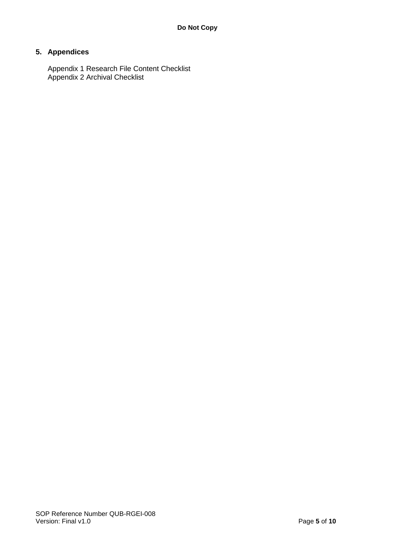## **5. Appendices**

Appendix 1 Research File Content Checklist Appendix 2 Archival Checklist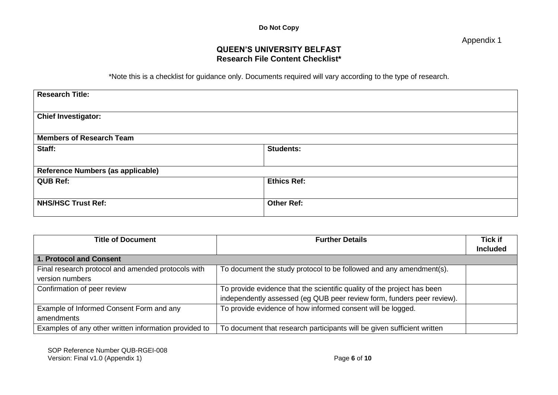Appendix 1

## **QUEEN'S UNIVERSITY BELFAST Research File Content Checklist\***

\*Note this is a checklist for guidance only. Documents required will vary according to the type of research.

| <b>Research Title:</b>            |                    |
|-----------------------------------|--------------------|
| <b>Chief Investigator:</b>        |                    |
| <b>Members of Research Team</b>   |                    |
| Staff:                            | <b>Students:</b>   |
| Reference Numbers (as applicable) |                    |
| <b>QUB Ref:</b>                   | <b>Ethics Ref:</b> |
| <b>NHS/HSC Trust Ref:</b>         | <b>Other Ref:</b>  |

| <b>Title of Document</b>                              | <b>Further Details</b>                                                  | <b>Tick if</b>  |
|-------------------------------------------------------|-------------------------------------------------------------------------|-----------------|
|                                                       |                                                                         | <b>Included</b> |
| 1. Protocol and Consent                               |                                                                         |                 |
| Final research protocol and amended protocols with    | To document the study protocol to be followed and any amendment(s).     |                 |
| version numbers                                       |                                                                         |                 |
| Confirmation of peer review                           | To provide evidence that the scientific quality of the project has been |                 |
|                                                       | independently assessed (eg QUB peer review form, funders peer review).  |                 |
| Example of Informed Consent Form and any              | To provide evidence of how informed consent will be logged.             |                 |
| amendments                                            |                                                                         |                 |
| Examples of any other written information provided to | To document that research participants will be given sufficient written |                 |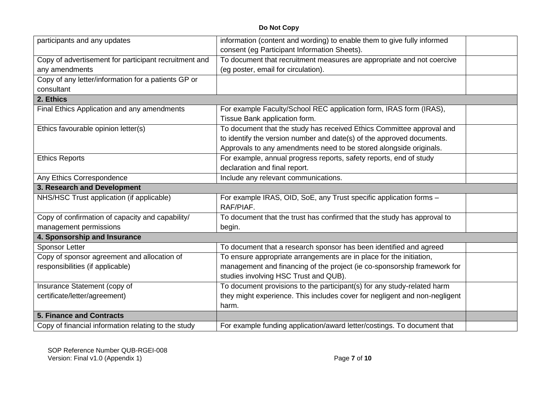| participants and any updates                          | information (content and wording) to enable them to give fully informed    |  |
|-------------------------------------------------------|----------------------------------------------------------------------------|--|
|                                                       | consent (eg Participant Information Sheets).                               |  |
| Copy of advertisement for participant recruitment and | To document that recruitment measures are appropriate and not coercive     |  |
| any amendments                                        | (eg poster, email for circulation).                                        |  |
| Copy of any letter/information for a patients GP or   |                                                                            |  |
| consultant                                            |                                                                            |  |
| 2. Ethics                                             |                                                                            |  |
| Final Ethics Application and any amendments           | For example Faculty/School REC application form, IRAS form (IRAS),         |  |
|                                                       | Tissue Bank application form.                                              |  |
| Ethics favourable opinion letter(s)                   | To document that the study has received Ethics Committee approval and      |  |
|                                                       | to identify the version number and date(s) of the approved documents.      |  |
|                                                       | Approvals to any amendments need to be stored alongside originals.         |  |
| <b>Ethics Reports</b>                                 | For example, annual progress reports, safety reports, end of study         |  |
|                                                       | declaration and final report.                                              |  |
| Any Ethics Correspondence                             | Include any relevant communications.                                       |  |
|                                                       |                                                                            |  |
| 3. Research and Development                           |                                                                            |  |
| NHS/HSC Trust application (if applicable)             | For example IRAS, OID, SoE, any Trust specific application forms -         |  |
|                                                       | RAF/PIAF.                                                                  |  |
| Copy of confirmation of capacity and capability/      | To document that the trust has confirmed that the study has approval to    |  |
| management permissions                                | begin.                                                                     |  |
| 4. Sponsorship and Insurance                          |                                                                            |  |
| <b>Sponsor Letter</b>                                 | To document that a research sponsor has been identified and agreed         |  |
| Copy of sponsor agreement and allocation of           | To ensure appropriate arrangements are in place for the initiation,        |  |
| responsibilities (if applicable)                      | management and financing of the project (ie co-sponsorship framework for   |  |
|                                                       | studies involving HSC Trust and QUB).                                      |  |
| Insurance Statement (copy of                          | To document provisions to the participant(s) for any study-related harm    |  |
| certificate/letter/agreement)                         | they might experience. This includes cover for negligent and non-negligent |  |
|                                                       | harm.                                                                      |  |
| <b>5. Finance and Contracts</b>                       |                                                                            |  |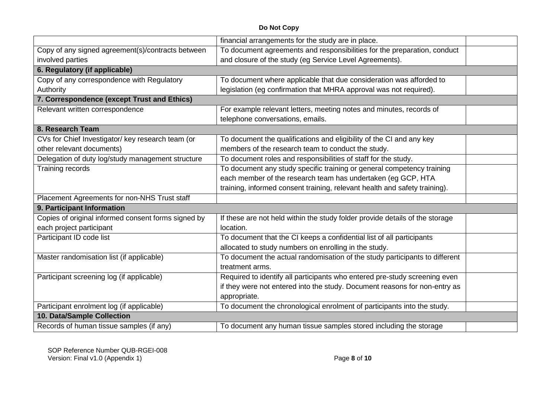|                                                     | financial arrangements for the study are in place.                           |  |
|-----------------------------------------------------|------------------------------------------------------------------------------|--|
| Copy of any signed agreement(s)/contracts between   | To document agreements and responsibilities for the preparation, conduct     |  |
| involved parties                                    | and closure of the study (eg Service Level Agreements).                      |  |
| 6. Regulatory (if applicable)                       |                                                                              |  |
| Copy of any correspondence with Regulatory          | To document where applicable that due consideration was afforded to          |  |
| Authority                                           | legislation (eg confirmation that MHRA approval was not required).           |  |
| 7. Correspondence (except Trust and Ethics)         |                                                                              |  |
| Relevant written correspondence                     | For example relevant letters, meeting notes and minutes, records of          |  |
|                                                     | telephone conversations, emails.                                             |  |
| 8. Research Team                                    |                                                                              |  |
| CVs for Chief Investigator/ key research team (or   | To document the qualifications and eligibility of the CI and any key         |  |
| other relevant documents)                           | members of the research team to conduct the study.                           |  |
| Delegation of duty log/study management structure   | To document roles and responsibilities of staff for the study.               |  |
| Training records                                    | To document any study specific training or general competency training       |  |
|                                                     | each member of the research team has undertaken (eg GCP, HTA                 |  |
|                                                     | training, informed consent training, relevant health and safety training).   |  |
| Placement Agreements for non-NHS Trust staff        |                                                                              |  |
| 9. Participant Information                          |                                                                              |  |
| Copies of original informed consent forms signed by | If these are not held within the study folder provide details of the storage |  |
| each project participant                            | location.                                                                    |  |
| Participant ID code list                            | To document that the CI keeps a confidential list of all participants        |  |
|                                                     | allocated to study numbers on enrolling in the study.                        |  |
| Master randomisation list (if applicable)           | To document the actual randomisation of the study participants to different  |  |
|                                                     | treatment arms.                                                              |  |
| Participant screening log (if applicable)           | Required to identify all participants who entered pre-study screening even   |  |
|                                                     | if they were not entered into the study. Document reasons for non-entry as   |  |
|                                                     | appropriate.                                                                 |  |
| Participant enrolment log (if applicable)           | To document the chronological enrolment of participants into the study.      |  |
| 10. Data/Sample Collection                          |                                                                              |  |
| Records of human tissue samples (if any)            | To document any human tissue samples stored including the storage            |  |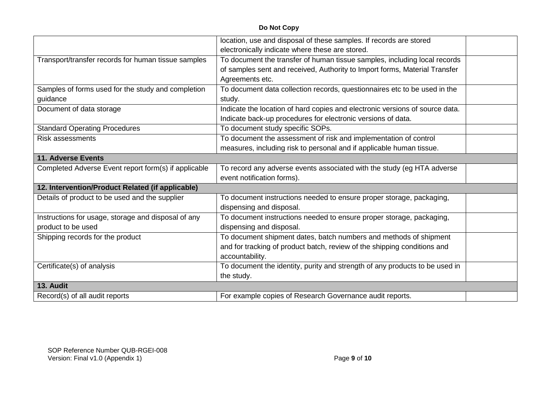|                                                      | location, use and disposal of these samples. If records are stored           |  |
|------------------------------------------------------|------------------------------------------------------------------------------|--|
|                                                      | electronically indicate where these are stored.                              |  |
| Transport/transfer records for human tissue samples  | To document the transfer of human tissue samples, including local records    |  |
|                                                      | of samples sent and received, Authority to Import forms, Material Transfer   |  |
|                                                      | Agreements etc.                                                              |  |
| Samples of forms used for the study and completion   | To document data collection records, questionnaires etc to be used in the    |  |
| guidance                                             | study.                                                                       |  |
| Document of data storage                             | Indicate the location of hard copies and electronic versions of source data. |  |
|                                                      | Indicate back-up procedures for electronic versions of data.                 |  |
| <b>Standard Operating Procedures</b>                 | To document study specific SOPs.                                             |  |
| <b>Risk assessments</b>                              | To document the assessment of risk and implementation of control             |  |
|                                                      | measures, including risk to personal and if applicable human tissue.         |  |
| <b>11. Adverse Events</b>                            |                                                                              |  |
| Completed Adverse Event report form(s) if applicable | To record any adverse events associated with the study (eg HTA adverse       |  |
|                                                      | event notification forms).                                                   |  |
| 12. Intervention/Product Related (if applicable)     |                                                                              |  |
| Details of product to be used and the supplier       | To document instructions needed to ensure proper storage, packaging,         |  |
|                                                      | dispensing and disposal.                                                     |  |
| Instructions for usage, storage and disposal of any  | To document instructions needed to ensure proper storage, packaging,         |  |
| product to be used                                   | dispensing and disposal.                                                     |  |
| Shipping records for the product                     | To document shipment dates, batch numbers and methods of shipment            |  |
|                                                      | and for tracking of product batch, review of the shipping conditions and     |  |
|                                                      | accountability.                                                              |  |
| Certificate(s) of analysis                           | To document the identity, purity and strength of any products to be used in  |  |
|                                                      | the study.                                                                   |  |
| 13. Audit                                            |                                                                              |  |
| Record(s) of all audit reports                       | For example copies of Research Governance audit reports.                     |  |